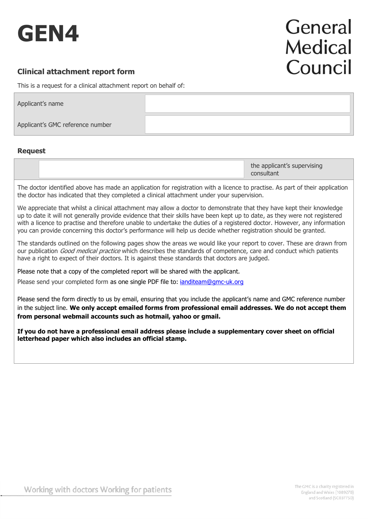

# General **Medical** Council

# **Clinical attachment report form**

This is a request for a clinical attachment report on behalf of:

| Applicant's name                 |  |
|----------------------------------|--|
| Applicant's GMC reference number |  |

# **Request**

The doctor identified above has made an application for registration with a licence to practise. As part of their application the doctor has indicated that they completed a clinical attachment under your supervision.

We appreciate that whilst a clinical attachment may allow a doctor to demonstrate that they have kept their knowledge up to date it will not generally provide evidence that their skills have been kept up to date, as they were not registered with a licence to practise and therefore unable to undertake the duties of a registered doctor. However, any information you can provide concerning this doctor's performance will help us decide whether registration should be granted.

The standards outlined on the following pages show the areas we would like your report to cover. These are drawn from our publication Good medical practice which describes the standards of competence, care and conduct which patients have a right to expect of their doctors. It is against these standards that doctors are judged.

Please note that a copy of the completed report will be shared with the applicant.

Please send your completed form as one single PDF file to: *[ianditeam@gmc-uk.org](mailto:ianditeam@gmc-uk.org)* 

Please send the form directly to us by email, ensuring that you include the applicant's name and GMC reference number in the subject line. **We only accept emailed forms from professional email addresses. We do not accept them from personal webmail accounts such as hotmail, yahoo or gmail.**

**If you do not have a professional email address please include a supplementary cover sheet on official letterhead paper which also includes an official stamp.**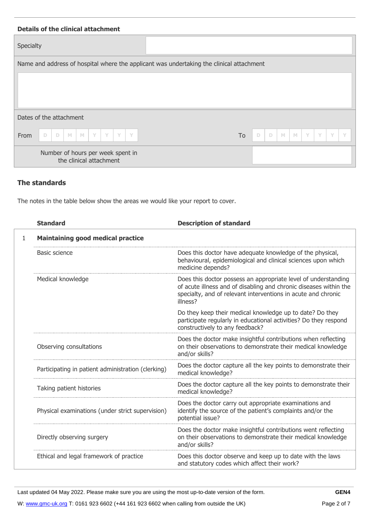| <b>Details of the clinical attachment</b>                                                |    |                                                                 |
|------------------------------------------------------------------------------------------|----|-----------------------------------------------------------------|
| Specialty                                                                                |    |                                                                 |
| Name and address of hospital where the applicant was undertaking the clinical attachment |    |                                                                 |
|                                                                                          |    |                                                                 |
| Dates of the attachment                                                                  |    |                                                                 |
| From<br>Y<br>Y<br>D<br>M<br>$\mathbb{M}$<br>Y<br>$\Box$<br>Y                             | To | $\mathbb{M}$<br>D<br>Y<br>Y<br>Y<br>$\Box$<br>$\mathbb{M}$<br>Y |
| Number of hours per week spent in<br>the clinical attachment                             |    |                                                                 |

# **The standards**

The notes in the table below show the areas we would like your report to cover.

|   | <b>Standard</b>                                    | <b>Description of standard</b>                                                                                                                                                                                   |  |  |  |  |  |  |  |  |  |
|---|----------------------------------------------------|------------------------------------------------------------------------------------------------------------------------------------------------------------------------------------------------------------------|--|--|--|--|--|--|--|--|--|
| 1 | <b>Maintaining good medical practice</b>           |                                                                                                                                                                                                                  |  |  |  |  |  |  |  |  |  |
|   | Basic science                                      | Does this doctor have adequate knowledge of the physical,<br>behavioural, epidemiological and clinical sciences upon which<br>medicine depends?                                                                  |  |  |  |  |  |  |  |  |  |
|   | Medical knowledge                                  | Does this doctor possess an appropriate level of understanding<br>of acute illness and of disabling and chronic diseases within the<br>specialty, and of relevant interventions in acute and chronic<br>illness? |  |  |  |  |  |  |  |  |  |
|   |                                                    | Do they keep their medical knowledge up to date? Do they<br>participate regularly in educational activities? Do they respond<br>constructively to any feedback?                                                  |  |  |  |  |  |  |  |  |  |
|   | Observing consultations                            | Does the doctor make insightful contributions when reflecting<br>on their observations to demonstrate their medical knowledge<br>and/or skills?                                                                  |  |  |  |  |  |  |  |  |  |
|   | Participating in patient administration (clerking) | Does the doctor capture all the key points to demonstrate their<br>medical knowledge?                                                                                                                            |  |  |  |  |  |  |  |  |  |
|   | Taking patient histories                           | Does the doctor capture all the key points to demonstrate their<br>medical knowledge?                                                                                                                            |  |  |  |  |  |  |  |  |  |
|   | Physical examinations (under strict supervision)   | Does the doctor carry out appropriate examinations and<br>identify the source of the patient's complaints and/or the<br>potential issue?                                                                         |  |  |  |  |  |  |  |  |  |
|   | Directly observing surgery                         | Does the doctor make insightful contributions went reflecting<br>on their observations to demonstrate their medical knowledge<br>and/or skills?                                                                  |  |  |  |  |  |  |  |  |  |
|   | Ethical and legal framework of practice            | Does this doctor observe and keep up to date with the laws<br>and statutory codes which affect their work?                                                                                                       |  |  |  |  |  |  |  |  |  |

**GEN4**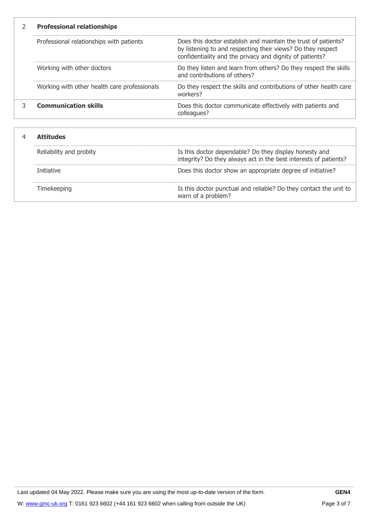| <b>Professional relationships</b>            |                                                                                                                                                                                           |  |  |  |  |  |  |  |
|----------------------------------------------|-------------------------------------------------------------------------------------------------------------------------------------------------------------------------------------------|--|--|--|--|--|--|--|
| Professional relationships with patients     | Does this doctor establish and maintain the trust of patients?<br>by listening to and respecting their views? Do they respect<br>confidentiality and the privacy and dignity of patients? |  |  |  |  |  |  |  |
| Working with other doctors                   | Do they listen and learn from others? Do they respect the skills<br>and contributions of others?                                                                                          |  |  |  |  |  |  |  |
| Working with other health care professionals | Do they respect the skills and contributions of other health care<br>workers?                                                                                                             |  |  |  |  |  |  |  |
| <b>Communication skills</b>                  | Does this doctor communicate effectively with patients and<br>colleagues?                                                                                                                 |  |  |  |  |  |  |  |
|                                              |                                                                                                                                                                                           |  |  |  |  |  |  |  |

| ritudes                 |                                                                                                                            |  |  |  |  |  |
|-------------------------|----------------------------------------------------------------------------------------------------------------------------|--|--|--|--|--|
| Reliability and probity | Is this doctor dependable? Do they display honesty and<br>integrity? Do they always act in the best interests of patients? |  |  |  |  |  |
| Initiative              | Does this doctor show an appropriate degree of initiative?                                                                 |  |  |  |  |  |
|                         | Is this doctor punctual and reliable? Do they contact the unit to<br>warn of a problem?                                    |  |  |  |  |  |

**GEN4**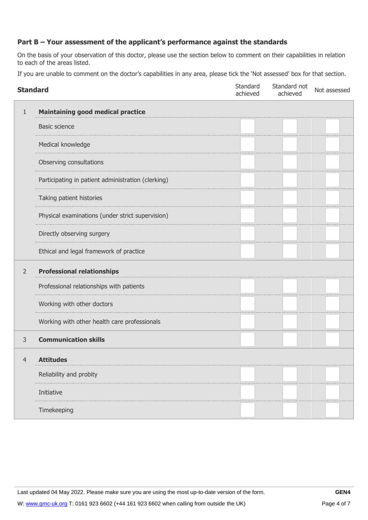# **Part B – Your assessment of the applicant's performance against the standards**

On the basis of your observation of this doctor, please use the section below to comment on their capabilities in relation to each of the areas listed.

If you are unable to comment on the doctor's capabilities in any area, please tick the 'Not assessed' box for that section.

| <b>Standard</b> |                                                    | Standard<br>achieved | Standard not<br>achieved | Not assessed |
|-----------------|----------------------------------------------------|----------------------|--------------------------|--------------|
| $\mathbf{1}$    | <b>Maintaining good medical practice</b>           |                      |                          |              |
|                 | <b>Basic science</b>                               |                      |                          |              |
|                 | Medical knowledge                                  |                      |                          |              |
|                 | Observing consultations                            |                      |                          |              |
|                 | Participating in patient administration (clerking) |                      |                          |              |
|                 | Taking patient histories                           |                      |                          |              |
|                 | Physical examinations (under strict supervision)   |                      |                          |              |
|                 | Directly observing surgery                         |                      |                          |              |
|                 | Ethical and legal framework of practice            |                      |                          |              |
| $\overline{2}$  | <b>Professional relationships</b>                  |                      |                          |              |
|                 | Professional relationships with patients           |                      |                          |              |
|                 | Working with other doctors                         |                      |                          |              |
|                 | Working with other health care professionals       |                      |                          |              |
| 3               | <b>Communication skills</b>                        |                      |                          |              |
| 4               | <b>Attitudes</b>                                   |                      |                          |              |
|                 | Reliability and probity                            |                      |                          |              |
|                 | Initiative                                         |                      |                          |              |
|                 | Timekeeping                                        |                      |                          |              |

Last updated 04 May 2022. Please make sure you are using the most up-to-date version of the form.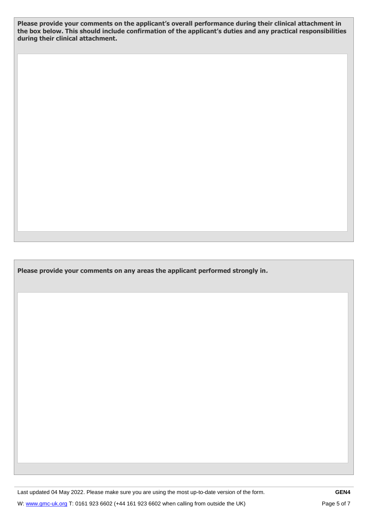**Please provide your comments on the applicant's overall performance during their clinical attachment in the box below. This should include confirmation of the applicant's duties and any practical responsibilities during their clinical attachment.**

**Please provide your comments on any areas the applicant performed strongly in.** 

Last updated 04 May 2022. Please make sure you are using the most up-to-date version of the form.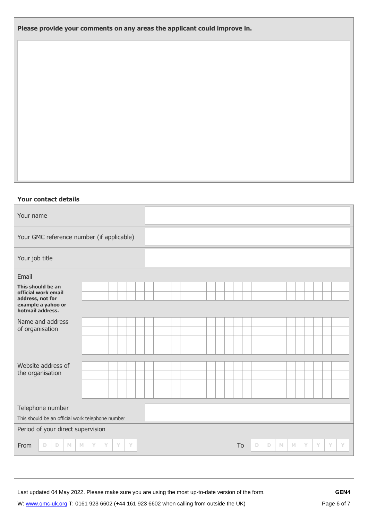**Please provide your comments on any areas the applicant could improve in.**

## **Your contact details**

| Your name                                                                                                                  |                                                  |  |  |  |  |  |  |  |  |  |  |  |  |  |  |  |  |  |  |  |
|----------------------------------------------------------------------------------------------------------------------------|--------------------------------------------------|--|--|--|--|--|--|--|--|--|--|--|--|--|--|--|--|--|--|--|
| Your GMC reference number (if applicable)                                                                                  |                                                  |  |  |  |  |  |  |  |  |  |  |  |  |  |  |  |  |  |  |  |
| Your job title                                                                                                             |                                                  |  |  |  |  |  |  |  |  |  |  |  |  |  |  |  |  |  |  |  |
| Email                                                                                                                      |                                                  |  |  |  |  |  |  |  |  |  |  |  |  |  |  |  |  |  |  |  |
| This should be an<br>official work email                                                                                   |                                                  |  |  |  |  |  |  |  |  |  |  |  |  |  |  |  |  |  |  |  |
| address, not for<br>example a yahoo or<br>hotmail address.                                                                 |                                                  |  |  |  |  |  |  |  |  |  |  |  |  |  |  |  |  |  |  |  |
| Name and address                                                                                                           |                                                  |  |  |  |  |  |  |  |  |  |  |  |  |  |  |  |  |  |  |  |
| of organisation                                                                                                            |                                                  |  |  |  |  |  |  |  |  |  |  |  |  |  |  |  |  |  |  |  |
|                                                                                                                            |                                                  |  |  |  |  |  |  |  |  |  |  |  |  |  |  |  |  |  |  |  |
|                                                                                                                            |                                                  |  |  |  |  |  |  |  |  |  |  |  |  |  |  |  |  |  |  |  |
| Website address of                                                                                                         |                                                  |  |  |  |  |  |  |  |  |  |  |  |  |  |  |  |  |  |  |  |
| the organisation                                                                                                           |                                                  |  |  |  |  |  |  |  |  |  |  |  |  |  |  |  |  |  |  |  |
|                                                                                                                            |                                                  |  |  |  |  |  |  |  |  |  |  |  |  |  |  |  |  |  |  |  |
|                                                                                                                            |                                                  |  |  |  |  |  |  |  |  |  |  |  |  |  |  |  |  |  |  |  |
| Telephone number                                                                                                           |                                                  |  |  |  |  |  |  |  |  |  |  |  |  |  |  |  |  |  |  |  |
|                                                                                                                            | This should be an official work telephone number |  |  |  |  |  |  |  |  |  |  |  |  |  |  |  |  |  |  |  |
| Period of your direct supervision                                                                                          |                                                  |  |  |  |  |  |  |  |  |  |  |  |  |  |  |  |  |  |  |  |
| To<br>Y<br>Y<br>From<br>$\mathbb D$<br>M<br>Y<br>Y<br>Y<br>Y<br>D<br>D<br>$\mathbb{M}$<br>$\mathbb{M}$<br>Y<br>Y<br>D<br>M |                                                  |  |  |  |  |  |  |  |  |  |  |  |  |  |  |  |  |  |  |  |

Last updated 04 May 2022. Please make sure you are using the most up-to-date version of the form.

W: [www.gmc-uk.org](http://www.gmc-uk.org/) T: 0161 923 6602 (+44 161 923 6602 when calling from outside the UK)